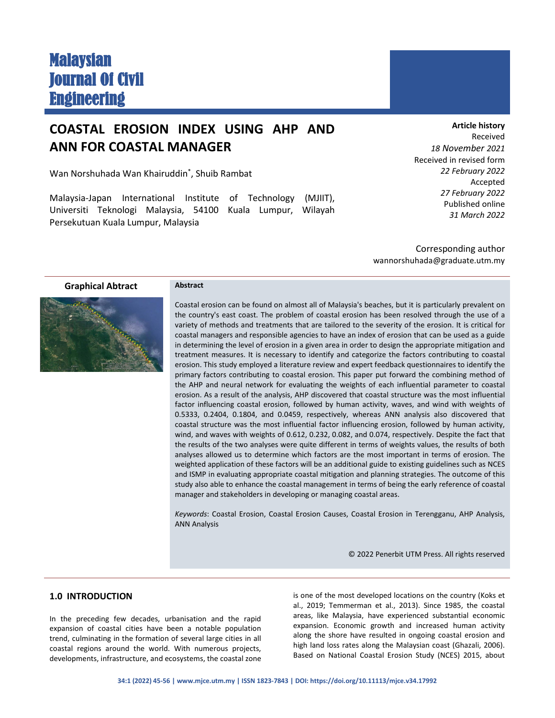# Malaysian Journal Of Civil **Engineering**

## **COASTAL EROSION INDEX USING AHP AND ANN FOR COASTAL MANAGER**

Wan Norshuhada Wan Khairuddin\* , Shuib Rambat

Malaysia-Japan International Institute of Technology (MJIIT), Universiti Teknologi Malaysia, 54100 Kuala Lumpur, Wilayah Persekutuan Kuala Lumpur, Malaysia

**Article history** Received *18 November 2021* Received in revised form *22 February 2022* Accepted *27 February 2022* Published online *31 March 2022*

Corresponding author wannorshuhada@graduate.utm.my

**Graphical Abtract Abstract**



Coastal erosion can be found on almost all of Malaysia's beaches, but it is particularly prevalent on the country's east coast. The problem of coastal erosion has been resolved through the use of a variety of methods and treatments that are tailored to the severity of the erosion. It is critical for coastal managers and responsible agencies to have an index of erosion that can be used as a guide in determining the level of erosion in a given area in order to design the appropriate mitigation and treatment measures. It is necessary to identify and categorize the factors contributing to coastal erosion. This study employed a literature review and expert feedback questionnaires to identify the primary factors contributing to coastal erosion. This paper put forward the combining method of the AHP and neural network for evaluating the weights of each influential parameter to coastal erosion. As a result of the analysis, AHP discovered that coastal structure was the most influential factor influencing coastal erosion, followed by human activity, waves, and wind with weights of 0.5333, 0.2404, 0.1804, and 0.0459, respectively, whereas ANN analysis also discovered that coastal structure was the most influential factor influencing erosion, followed by human activity, wind, and waves with weights of 0.612, 0.232, 0.082, and 0.074, respectively. Despite the fact that the results of the two analyses were quite different in terms of weights values, the results of both analyses allowed us to determine which factors are the most important in terms of erosion. The weighted application of these factors will be an additional guide to existing guidelines such as NCES and ISMP in evaluating appropriate coastal mitigation and planning strategies. The outcome of this study also able to enhance the coastal management in terms of being the early reference of coastal manager and stakeholders in developing or managing coastal areas.

*Keywords*: Coastal Erosion, Coastal Erosion Causes, Coastal Erosion in Terengganu, AHP Analysis, ANN Analysis

© 2022 Penerbit UTM Press. All rights reserved

#### **1.0 INTRODUCTION**

In the preceding few decades, urbanisation and the rapid expansion of coastal cities have been a notable population trend, culminating in the formation of several large cities in all coastal regions around the world. With numerous projects, developments, infrastructure, and ecosystems, the coastal zone

is one of the most developed locations on the country (Koks et al., 2019; Temmerman et al., 2013). Since 1985, the coastal areas, like Malaysia, have experienced substantial economic expansion. Economic growth and increased human activity along the shore have resulted in ongoing coastal erosion and high land loss rates along the Malaysian coast (Ghazali, 2006). Based on National Coastal Erosion Study (NCES) 2015, about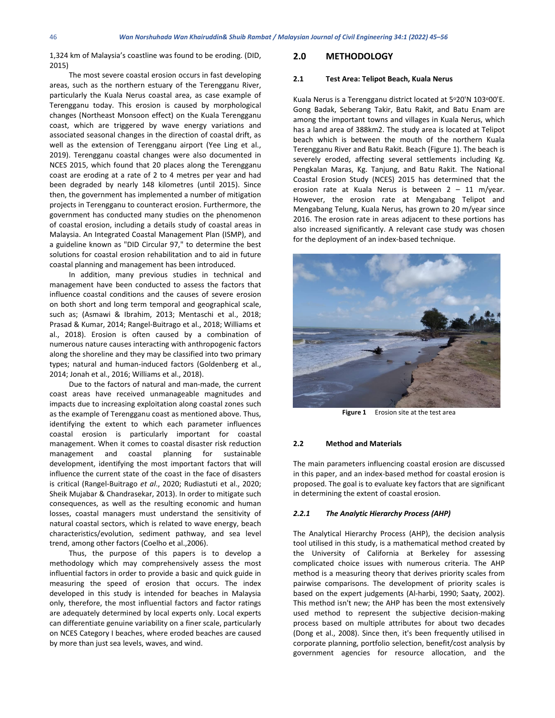1,324 km of Malaysia's coastline was found to be eroding. (DID, 2015)

The most severe coastal erosion occurs in fast developing areas, such as the northern estuary of the Terengganu River, particularly the Kuala Nerus coastal area, as case example of Terengganu today. This erosion is caused by morphological changes (Northeast Monsoon effect) on the Kuala Terengganu coast, which are triggered by wave energy variations and associated seasonal changes in the direction of coastal drift, as well as the extension of Terengganu airport (Yee Ling et al., 2019). Terengganu coastal changes were also documented in NCES 2015, which found that 20 places along the Terengganu coast are eroding at a rate of 2 to 4 metres per year and had been degraded by nearly 148 kilometres (until 2015). Since then, the government has implemented a number of mitigation projects in Terengganu to counteract erosion. Furthermore, the government has conducted many studies on the phenomenon of coastal erosion, including a details study of coastal areas in Malaysia. An Integrated Coastal Management Plan (ISMP), and a guideline known as "DID Circular 97," to determine the best solutions for coastal erosion rehabilitation and to aid in future coastal planning and management has been introduced.

In addition, many previous studies in technical and management have been conducted to assess the factors that influence coastal conditions and the causes of severe erosion on both short and long term temporal and geographical scale, such as; (Asmawi & Ibrahim, 2013; Mentaschi et al., 2018; Prasad & Kumar, 2014; Rangel-Buitrago et al., 2018; Williams et al., 2018). Erosion is often caused by a combination of numerous nature causes interacting with anthropogenic factors along the shoreline and they may be classified into two primary types; natural and human-induced factors (Goldenberg et al., 2014; Jonah et al., 2016; Williams et al., 2018).

Due to the factors of natural and man-made, the current coast areas have received unmanageable magnitudes and impacts due to increasing exploitation along coastal zones such as the example of Terengganu coast as mentioned above. Thus, identifying the extent to which each parameter influences coastal erosion is particularly important for coastal management. When it comes to coastal disaster risk reduction management and coastal planning for sustainable development, identifying the most important factors that will influence the current state of the coast in the face of disasters is critical (Rangel-Buitrago *et al*., 2020; Rudiastuti et al., 2020; Sheik Mujabar & Chandrasekar, 2013). In order to mitigate such consequences, as well as the resulting economic and human losses, coastal managers must understand the sensitivity of natural coastal sectors, which is related to wave energy, beach characteristics/evolution, sediment pathway, and sea level trend, among other factors (Coelho et al.,2006).

Thus, the purpose of this papers is to develop a methodology which may comprehensively assess the most influential factors in order to provide a basic and quick guide in measuring the speed of erosion that occurs. The index developed in this study is intended for beaches in Malaysia only, therefore, the most influential factors and factor ratings are adequately determined by local experts only. Local experts can differentiate genuine variability on a finer scale, particularly on NCES Category I beaches, where eroded beaches are caused by more than just sea levels, waves, and wind.

#### **2.0 METHODOLOGY**

#### **2.1 Test Area: Telipot Beach, Kuala Nerus**

Kuala Nerus is a Terengganu district located at 5°20'N 103°00'E. Gong Badak, Seberang Takir, Batu Rakit, and Batu Enam are among the important towns and villages in Kuala Nerus, which has a land area of 388km2. The study area is located at Telipot beach which is between the mouth of the northern Kuala Terengganu River and Batu Rakit. Beach (Figure 1). The beach is severely eroded, affecting several settlements including Kg. Pengkalan Maras, Kg. Tanjung, and Batu Rakit. The National Coastal Erosion Study (NCES) 2015 has determined that the erosion rate at Kuala Nerus is between 2 – 11 m/year. However, the erosion rate at Mengabang Telipot and Mengabang Telung, Kuala Nerus, has grown to 20 m/year since 2016. The erosion rate in areas adjacent to these portions has also increased significantly. A relevant case study was chosen for the deployment of an index-based technique.



**Figure 1** Erosion site at the test area

#### **2.2 Method and Materials**

The main parameters influencing coastal erosion are discussed in this paper, and an index-based method for coastal erosion is proposed. The goal is to evaluate key factors that are significant in determining the extent of coastal erosion.

#### *2.2.1 The Analytic Hierarchy Process (AHP)*

The Analytical Hierarchy Process (AHP), the decision analysis tool utilised in this study, is a mathematical method created by the University of California at Berkeley for assessing complicated choice issues with numerous criteria. The AHP method is a measuring theory that derives priority scales from pairwise comparisons. The development of priority scales is based on the expert judgements (Al-harbi, 1990; Saaty, 2002). This method isn't new; the AHP has been the most extensively used method to represent the subjective decision-making process based on multiple attributes for about two decades (Dong et al., 2008). Since then, it's been frequently utilised in corporate planning, portfolio selection, benefit/cost analysis by government agencies for resource allocation, and the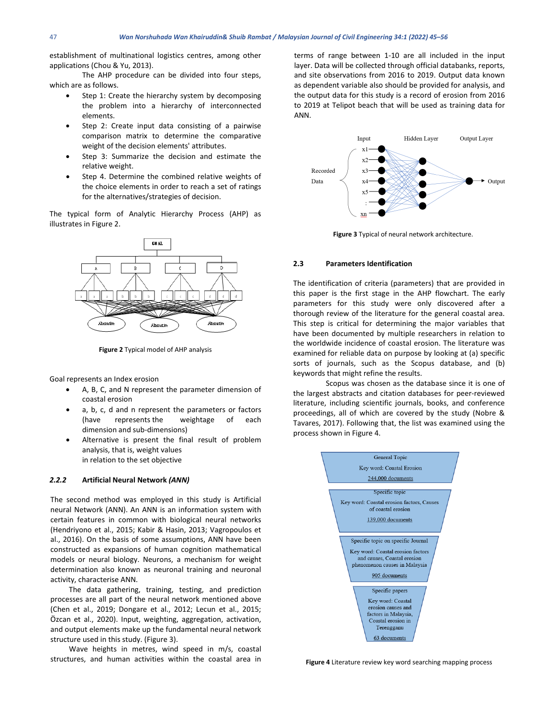establishment of multinational logistics centres, among other applications (Chou & Yu, 2013).

The AHP procedure can be divided into four steps, which are as follows.

- Step 1: Create the hierarchy system by decomposing the problem into a hierarchy of interconnected elements.
- Step 2: Create input data consisting of a pairwise comparison matrix to determine the comparative weight of the decision elements' attributes.
- Step 3: Summarize the decision and estimate the relative weight.
- Step 4. Determine the combined relative weights of the choice elements in order to reach a set of ratings for the alternatives/strategies of decision.

The typical form of Analytic Hierarchy Process (AHP) as illustrates in Figure 2.



**Figure 2** Typical model of AHP analysis

Goal represents an Index erosion

- A, B, C, and N represent the parameter dimension of coastal erosion
- a, b, c, d and n represent the parameters or factors (have represents the weightage of each dimension and sub-dimensions)
- Alternative is present the final result of problem analysis, that is, weight values in relation to the set objective

#### *2.2.2* **Artificial Neural Network** *(ANN)*

The second method was employed in this study is Artificial neural Network (ANN). An ANN is an information system with certain features in common with biological neural networks (Hendriyono et al., 2015; Kabir & Hasin, 2013; Vagropoulos et al., 2016). On the basis of some assumptions, ANN have been constructed as expansions of human cognition mathematical models or neural biology. Neurons, a mechanism for weight determination also known as neuronal training and neuronal activity, characterise ANN.

The data gathering, training, testing, and prediction processes are all part of the neural network mentioned above (Chen et al., 2019; Dongare et al., 2012; Lecun et al., 2015; Özcan et al., 2020). Input, weighting, aggregation, activation, and output elements make up the fundamental neural network structure used in this study. (Figure 3).

Wave heights in metres, wind speed in m/s, coastal structures, and human activities within the coastal area in terms of range between 1-10 are all included in the input layer. Data will be collected through official databanks, reports, and site observations from 2016 to 2019. Output data known as dependent variable also should be provided for analysis, and the output data for this study is a record of erosion from 2016 to 2019 at Telipot beach that will be used as training data for ANN.



**Figure 3** Typical of neural network architecture.

#### **2.3 Parameters Identification**

The identification of criteria (parameters) that are provided in this paper is the first stage in the AHP flowchart. The early parameters for this study were only discovered after a thorough review of the literature for the general coastal area. This step is critical for determining the major variables that have been documented by multiple researchers in relation to the worldwide incidence of coastal erosion. The literature was examined for reliable data on purpose by looking at (a) specific sorts of journals, such as the Scopus database, and (b) keywords that might refine the results.

Scopus was chosen as the database since it is one of the largest abstracts and citation databases for peer-reviewed literature, including scientific journals, books, and conference proceedings, all of which are covered by the study (Nobre & Tavares, 2017). Following that, the list was examined using the process shown in Figure 4.



**Figure 4** Literature review key word searching mapping process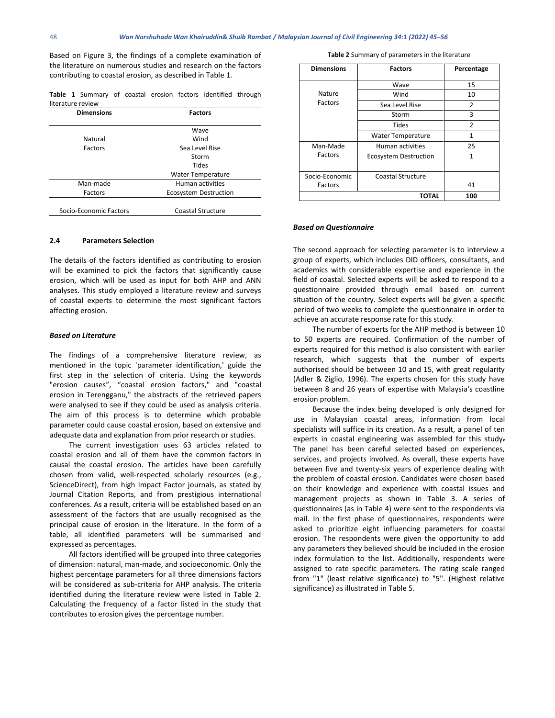Based on Figure 3, the findings of a complete examination of the literature on numerous studies and research on the factors contributing to coastal erosion, as described in Table 1.

**Table 1** Summary of coastal erosion factors identified through literature review

| <b>Dimensions</b>      | <b>Factors</b>               |  |
|------------------------|------------------------------|--|
|                        | Wave                         |  |
| Natural                | Wind                         |  |
| Factors                | Sea Level Rise               |  |
|                        | Storm                        |  |
|                        | Tides                        |  |
|                        | <b>Water Temperature</b>     |  |
| Man-made               | Human activities             |  |
| Factors                | <b>Ecosystem Destruction</b> |  |
|                        |                              |  |
| Socio-Economic Factors | <b>Coastal Structure</b>     |  |

#### **2.4 Parameters Selection**

The details of the factors identified as contributing to erosion will be examined to pick the factors that significantly cause erosion, which will be used as input for both AHP and ANN analyses. This study employed a literature review and surveys of coastal experts to determine the most significant factors affecting erosion.

#### *Based on Literature*

The findings of a comprehensive literature review, as mentioned in the topic 'parameter identification,' guide the first step in the selection of criteria. Using the keywords "erosion causes", "coastal erosion factors," and "coastal erosion in Terengganu," the abstracts of the retrieved papers were analysed to see if they could be used as analysis criteria. The aim of this process is to determine which probable parameter could cause coastal erosion, based on extensive and adequate data and explanation from prior research or studies.

The current investigation uses 63 articles related to coastal erosion and all of them have the common factors in causal the coastal erosion. The articles have been carefully chosen from valid, well-respected scholarly resources (e.g., ScienceDirect), from high Impact Factor journals, as stated by Journal Citation Reports, and from prestigious international conferences. As a result, criteria will be established based on an assessment of the factors that are usually recognised as the principal cause of erosion in the literature. In the form of a table, all identified parameters will be summarised and expressed as percentages.

All factors identified will be grouped into three categories of dimension: natural, man-made, and socioeconomic. Only the highest percentage parameters for all three dimensions factors will be considered as sub-criteria for AHP analysis. The criteria identified during the literature review were listed in Table 2. Calculating the frequency of a factor listed in the study that contributes to erosion gives the percentage number.

**Table 2** Summary of parameters in the literature

| <b>Dimensions</b> | <b>Factors</b>               | Percentage     |
|-------------------|------------------------------|----------------|
|                   | Wave                         | 15             |
| Nature            | Wind                         | 10             |
| Factors           | Sea Level Rise               | $\overline{2}$ |
|                   | Storm                        | 3              |
|                   | <b>Tides</b>                 | $\overline{2}$ |
|                   | <b>Water Temperature</b>     | 1              |
| Man-Made          | Human activities             | 25             |
| Factors           | <b>Ecosystem Destruction</b> | 1              |
| Socio-Economic    | <b>Coastal Structure</b>     |                |
| Factors           |                              | 41             |
|                   | ΤΟΤΛΙ                        | 100            |

#### *Based on Questionnaire*

The second approach for selecting parameter is to interview a group of experts, which includes DID officers, consultants, and academics with considerable expertise and experience in the field of coastal. Selected experts will be asked to respond to a questionnaire provided through email based on current situation of the country. Select experts will be given a specific period of two weeks to complete the questionnaire in order to achieve an accurate response rate for this study.

The number of experts for the AHP method is between 10 to 50 experts are required. Confirmation of the number of experts required for this method is also consistent with earlier research, which suggests that the number of experts authorised should be between 10 and 15, with great regularity (Adler & Ziglio, 1996). The experts chosen for this study have between 8 and 26 years of expertise with Malaysia's coastline erosion problem.

Because the index being developed is only designed for use in Malaysian coastal areas, information from local specialists will suffice in its creation. As a result, a panel of ten experts in coastal engineering was assembled for this study. The panel has been careful selected based on experiences, services, and projects involved. As overall, these experts have between five and twenty-six years of experience dealing with the problem of coastal erosion. Candidates were chosen based on their knowledge and experience with coastal issues and management projects as shown in Table 3. A series of questionnaires (as in Table 4) were sent to the respondents via mail. In the first phase of questionnaires, respondents were asked to prioritize eight influencing parameters for coastal erosion. The respondents were given the opportunity to add any parameters they believed should be included in the erosion index formulation to the list. Additionally, respondents were assigned to rate specific parameters. The rating scale ranged from "1" (least relative significance) to "5". (Highest relative significance) as illustrated in Table 5.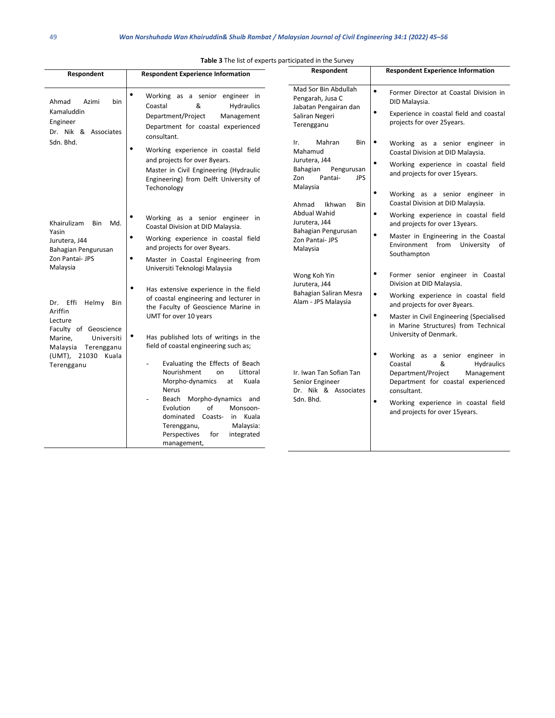| Respondent                                                                       | <b>Respondent Experience Information</b>                                                                                                                                                                                                                                                        | Respondent                                                                                                      | <b>Respondent Experience Information</b>                                                                                                                                                                                                                 |
|----------------------------------------------------------------------------------|-------------------------------------------------------------------------------------------------------------------------------------------------------------------------------------------------------------------------------------------------------------------------------------------------|-----------------------------------------------------------------------------------------------------------------|----------------------------------------------------------------------------------------------------------------------------------------------------------------------------------------------------------------------------------------------------------|
| Ahmad<br>Azimi<br>bin<br>Kamaluddin<br>Engineer<br>Dr. Nik & Associates          | ٠<br>Working as a senior engineer in<br>Coastal<br>&<br><b>Hydraulics</b><br>Department/Project<br>Management<br>Department for coastal experienced<br>consultant.                                                                                                                              | Mad Sor Bin Abdullah<br>Pengarah, Jusa C<br>Jabatan Pengairan dan<br>Saliran Negeri<br>Terengganu               | $\bullet$<br>Former Director at Coastal Division in<br>DID Malaysia.<br>$\bullet$<br>Experience in coastal field and coastal<br>projects for over 25years.                                                                                               |
| Sdn. Bhd.                                                                        | ٠<br>Working experience in coastal field<br>and projects for over 8years.<br>Master in Civil Engineering (Hydraulic<br>Engineering) from Delft University of<br>Techonology                                                                                                                     | Mahran<br>Bin<br>Ir.<br>Mahamud<br>Jurutera, J44<br>Bahagian<br>Pengurusan<br>Zon<br>Pantai-<br>JPS<br>Malaysia | $\bullet$<br>Working as a senior engineer in<br>Coastal Division at DID Malaysia.<br>$\bullet$<br>Working experience in coastal field<br>and projects for over 15years.<br>٠<br>Working as a senior engineer in                                          |
| Khairulizam<br>Bin<br>Md.                                                        | Working as a senior engineer in<br>Coastal Division at DID Malaysia.                                                                                                                                                                                                                            | Ikhwan<br><b>Bin</b><br>Ahmad<br>Abdual Wahid<br>Jurutera, J44                                                  | Coastal Division at DID Malaysia.<br>$\bullet$<br>Working experience in coastal field<br>and projects for over 13years.                                                                                                                                  |
| Yasin<br>Jurutera, J44<br>Bahagian Pengurusan<br>Zon Pantai- JPS                 | ٠<br>Working experience in coastal field<br>and projects for over 8years.<br>٠<br>Master in Coastal Engineering from                                                                                                                                                                            | Bahagian Pengurusan<br>Zon Pantai- JPS<br>Malaysia                                                              | $\bullet$<br>Master in Engineering in the Coastal<br>Environment from University of<br>Southampton                                                                                                                                                       |
| Malaysia<br>Dr. Effi Helmy<br>Bin<br>Ariffin                                     | Universiti Teknologi Malaysia<br>$\bullet$<br>Has extensive experience in the field<br>of coastal engineering and lecturer in<br>the Faculty of Geoscience Marine in                                                                                                                            | Wong Koh Yin<br>Jurutera, J44<br>Bahagian Saliran Mesra<br>Alam - JPS Malaysia                                  | $\bullet$<br>Former senior engineer in Coastal<br>Division at DID Malaysia.<br>$\bullet$<br>Working experience in coastal field<br>and projects for over 8years.                                                                                         |
| Lecture<br>Faculty of Geoscience<br>Universiti<br>Marine,<br>Malaysia Terengganu | UMT for over 10 years<br>$\bullet$<br>Has published lots of writings in the<br>field of coastal engineering such as;                                                                                                                                                                            |                                                                                                                 | ٠<br>Master in Civil Engineering (Specialised<br>in Marine Structures) from Technical<br>University of Denmark.                                                                                                                                          |
| (UMT), 21030 Kuala<br>Terengganu                                                 | Evaluating the Effects of Beach<br>Nourishment<br>Littoral<br>on<br>Morpho-dynamics<br>Kuala<br>at<br><b>Nerus</b><br>Beach Morpho-dynamics and<br>Evolution<br>of<br>Monsoon-<br>in Kuala<br>dominated Coasts-<br>Malaysia:<br>Terengganu,<br>Perspectives<br>integrated<br>for<br>management, | Ir. Iwan Tan Sofian Tan<br>Senior Engineer<br>Dr. Nik & Associates<br>Sdn. Bhd.                                 | ٠<br>Working as a senior engineer in<br>Coastal<br>&<br><b>Hydraulics</b><br>Department/Project<br>Management<br>Department for coastal experienced<br>consultant.<br>$\bullet$<br>Working experience in coastal field<br>and projects for over 15years. |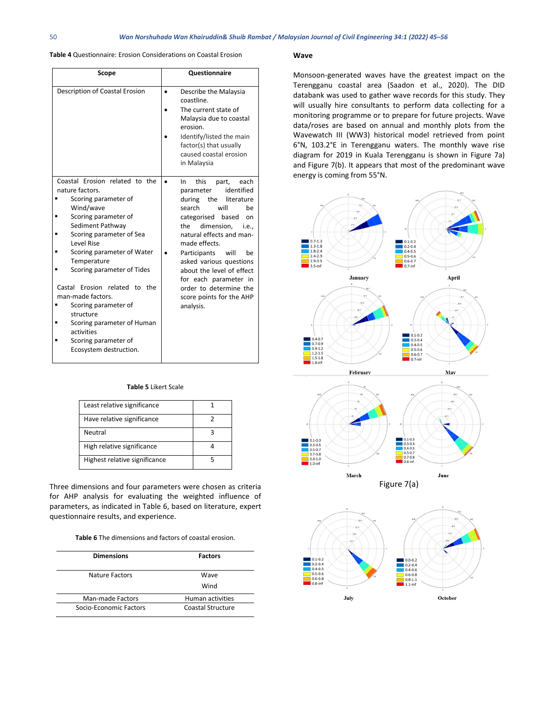#### **Table 4** Questionnaire: Erosion Considerations on Coastal Erosion

| Scope                                                                                                                                                                                                                                                                                                                                                                                                                                            | Questionnaire                                                                                                                                                                                                                                                                                                                                                                                          |  |
|--------------------------------------------------------------------------------------------------------------------------------------------------------------------------------------------------------------------------------------------------------------------------------------------------------------------------------------------------------------------------------------------------------------------------------------------------|--------------------------------------------------------------------------------------------------------------------------------------------------------------------------------------------------------------------------------------------------------------------------------------------------------------------------------------------------------------------------------------------------------|--|
| Description of Coastal Erosion                                                                                                                                                                                                                                                                                                                                                                                                                   | Describe the Malaysia<br>$\bullet$<br>coastline.<br>The current state of<br>Malaysia due to coastal<br>erosion.<br>Identify/listed the main<br>factor(s) that usually<br>caused coastal erosion<br>in Malaysia                                                                                                                                                                                         |  |
| Coastal Erosion related to the<br>nature factors.<br>Scoring parameter of<br>Wind/wave<br>Scoring parameter of<br>Sediment Pathway<br>Scoring parameter of Sea<br>Level Rise<br>Scoring parameter of Water<br>Temperature<br>Scoring parameter of Tides<br>Castal Erosion related to the<br>man-made factors.<br>Scoring parameter of<br>structure<br>Scoring parameter of Human<br>activities<br>Scoring parameter of<br>Ecosystem destruction. | this<br>each<br>In<br>part,<br>identified<br>parameter<br>during<br>the<br>literature<br>search<br>will<br>be<br>categorised<br>based<br>on<br>dimension.<br>the<br>i.e<br>natural effects and man-<br>made effects.<br>Participants<br>will<br>be<br>asked various questions<br>about the level of effect<br>for each parameter in<br>order to determine the<br>score points for the AHP<br>analysis. |  |

#### **Table 5** Likert Scale

| Least relative significance   |  |
|-------------------------------|--|
| Have relative significance    |  |
| Neutral                       |  |
| High relative significance    |  |
| Highest relative significance |  |

Three dimensions and four parameters were chosen as criteria for AHP analysis for evaluating the weighted influence of parameters, as indicated in Table 6, based on literature, expert questionnaire results, and experience.

#### **Table 6** The dimensions and factors of coastal erosion.

| <b>Dimensions</b>      | <b>Factors</b>    |
|------------------------|-------------------|
| Nature Factors         | Wave              |
|                        | Wind              |
| Man-made Factors       | Human activities  |
| Socio-Economic Eactors | Coastal Structure |

#### **Wave**

Monsoon-generated waves have the greatest impact on the Terengganu coastal area (Saadon et al., 2020). The DID databank was used to gather wave records for this study. They will usually hire consultants to perform data collecting for a monitoring programme or to prepare for future projects. Wave data/roses are based on annual and monthly plots from the Wavewatch III (WW3) historical model retrieved from point 6°N, 103.2°E in Terengganu waters. The monthly wave rise diagram for 2019 in Kuala Terengganu is shown in Figure 7a) and Figure 7(b). It appears that most of the predominant wave energy is coming from 55°N.



July

October

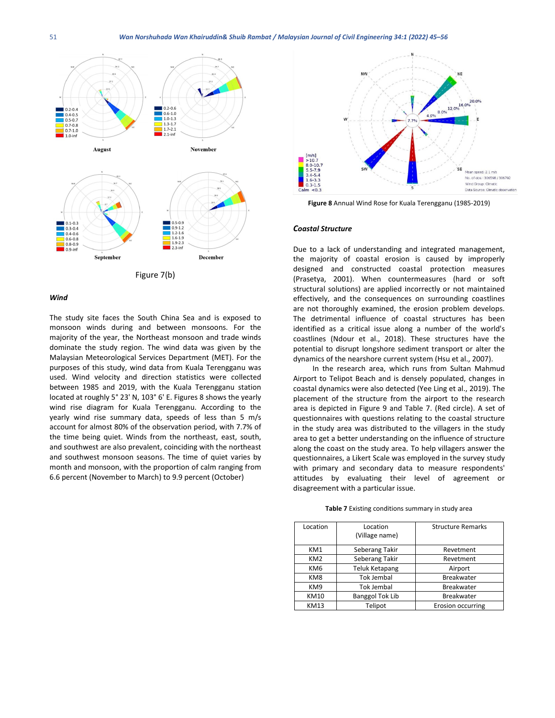

Figure 7(b)

#### *Wind*

The study site faces the South China Sea and is exposed to monsoon winds during and between monsoons. For the majority of the year, the Northeast monsoon and trade winds dominate the study region. The wind data was given by the Malaysian Meteorological Services Department (MET). For the purposes of this study, wind data from Kuala Terengganu was used. Wind velocity and direction statistics were collected between 1985 and 2019, with the Kuala Terengganu station located at roughly 5° 23' N, 103° 6' E. Figures 8 shows the yearly wind rise diagram for Kuala Terengganu. According to the yearly wind rise summary data, speeds of less than 5 m/s account for almost 80% of the observation period, with 7.7% of the time being quiet. Winds from the northeast, east, south, and southwest are also prevalent, coinciding with the northeast and southwest monsoon seasons. The time of quiet varies by month and monsoon, with the proportion of calm ranging from 6.6 percent (November to March) to 9.9 percent (October)



**Figure 8** Annual Wind Rose for Kuala Terengganu (1985-2019)

#### *Coastal Structure*

Due to a lack of understanding and integrated management, the majority of coastal erosion is caused by improperly designed and constructed coastal protection measures (Prasetya, 2001). When countermeasures (hard or soft structural solutions) are applied incorrectly or not maintained effectively, and the consequences on surrounding coastlines are not thoroughly examined, the erosion problem develops. The detrimental influence of coastal structures has been identified as a critical issue along a number of the world's coastlines (Ndour et al., 2018). These structures have the potential to disrupt longshore sediment transport or alter the dynamics of the nearshore current system (Hsu et al., 2007).

In the research area, which runs from Sultan Mahmud Airport to Telipot Beach and is densely populated, changes in coastal dynamics were also detected (Yee Ling et al., 2019). The placement of the structure from the airport to the research area is depicted in Figure 9 and Table 7. (Red circle). A set of questionnaires with questions relating to the coastal structure in the study area was distributed to the villagers in the study area to get a better understanding on the influence of structure along the coast on the study area. To help villagers answer the questionnaires, a Likert Scale was employed in the survey study with primary and secondary data to measure respondents' attitudes by evaluating their level of agreement or disagreement with a particular issue.

| Table 7 Existing conditions summary in study area |  |  |  |
|---------------------------------------------------|--|--|--|
|---------------------------------------------------|--|--|--|

| Location        | Location               | <b>Structure Remarks</b> |
|-----------------|------------------------|--------------------------|
|                 | (Village name)         |                          |
| KM1             | Seberang Takir         | Revetment                |
| KM <sub>2</sub> | Seberang Takir         | Revetment                |
| KM6             | <b>Teluk Ketapang</b>  | Airport                  |
| KM8             | <b>Tok Jembal</b>      | <b>Breakwater</b>        |
| KM9             | <b>Tok Jembal</b>      | <b>Breakwater</b>        |
| <b>KM10</b>     | <b>Banggol Tok Lib</b> | <b>Breakwater</b>        |
| <b>KM13</b>     | Telipot                | Erosion occurring        |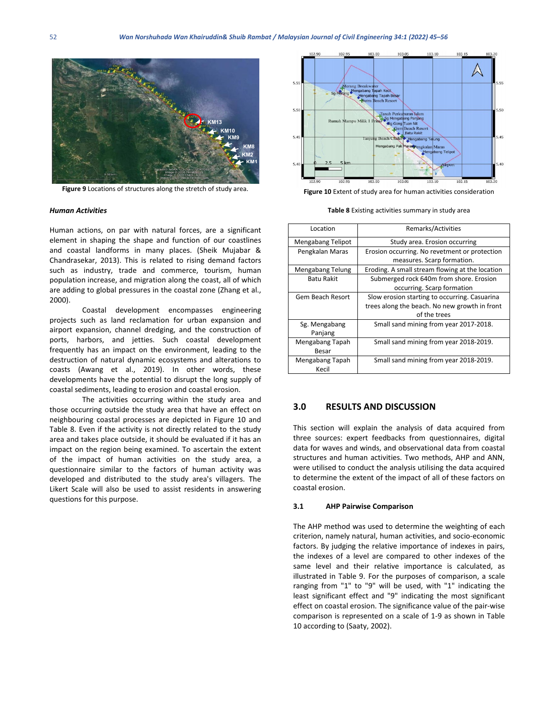

**Figure 9** Locations of structures along the stretch of study area.

#### *Human Activities*

Human actions, on par with natural forces, are a significant element in shaping the shape and function of our coastlines and coastal landforms in many places. (Sheik Mujabar & Chandrasekar, 2013). This is related to rising demand factors such as industry, trade and commerce, tourism, human population increase, and migration along the coast, all of which are adding to global pressures in the coastal zone (Zhang et al., 2000).

Coastal development encompasses engineering projects such as land reclamation for urban expansion and airport expansion, channel dredging, and the construction of ports, harbors, and jetties. Such coastal development frequently has an impact on the environment, leading to the destruction of natural dynamic ecosystems and alterations to coasts (Awang et al., 2019). In other words, these developments have the potential to disrupt the long supply of coastal sediments, leading to erosion and coastal erosion.

The activities occurring within the study area and those occurring outside the study area that have an effect on neighbouring coastal processes are depicted in Figure 10 and Table 8. Even if the activity is not directly related to the study area and takes place outside, it should be evaluated if it has an impact on the region being examined. To ascertain the extent of the impact of human activities on the study area, a questionnaire similar to the factors of human activity was developed and distributed to the study area's villagers. The Likert Scale will also be used to assist residents in answering questions for this purpose.



**Figure 10** Extent of study area for human activities consideration

**Table 8** Existing activities summary in study area

| Location                 | Remarks/Activities                                                                                             |
|--------------------------|----------------------------------------------------------------------------------------------------------------|
| Mengabang Telipot        | Study area. Erosion occurring                                                                                  |
| Pengkalan Maras          | Erosion occurring. No revetment or protection<br>measures. Scarp formation.                                    |
| Mengabang Telung         | Eroding. A small stream flowing at the location                                                                |
| <b>Batu Rakit</b>        | Submerged rock 640m from shore. Erosion<br>occurring. Scarp formation                                          |
| Gem Beach Resort         | Slow erosion starting to occurring. Casuarina<br>trees along the beach. No new growth in front<br>of the trees |
| Sg. Mengabang<br>Panjang | Small sand mining from year 2017-2018.                                                                         |
| Mengabang Tapah<br>Besar | Small sand mining from year 2018-2019.                                                                         |
| Mengabang Tapah<br>Kecil | Small sand mining from year 2018-2019.                                                                         |

#### **3.0 RESULTS AND DISCUSSION**

This section will explain the analysis of data acquired from three sources: expert feedbacks from questionnaires, digital data for waves and winds, and observational data from coastal structures and human activities. Two methods, AHP and ANN, were utilised to conduct the analysis utilising the data acquired to determine the extent of the impact of all of these factors on coastal erosion.

#### **3.1 AHP Pairwise Comparison**

The AHP method was used to determine the weighting of each criterion, namely natural, human activities, and socio-economic factors. By judging the relative importance of indexes in pairs, the indexes of a level are compared to other indexes of the same level and their relative importance is calculated, as illustrated in Table 9. For the purposes of comparison, a scale ranging from "1" to "9" will be used, with "1" indicating the least significant effect and "9" indicating the most significant effect on coastal erosion. The significance value of the pair-wise comparison is represented on a scale of 1-9 as shown in Table 10 according to (Saaty, 2002).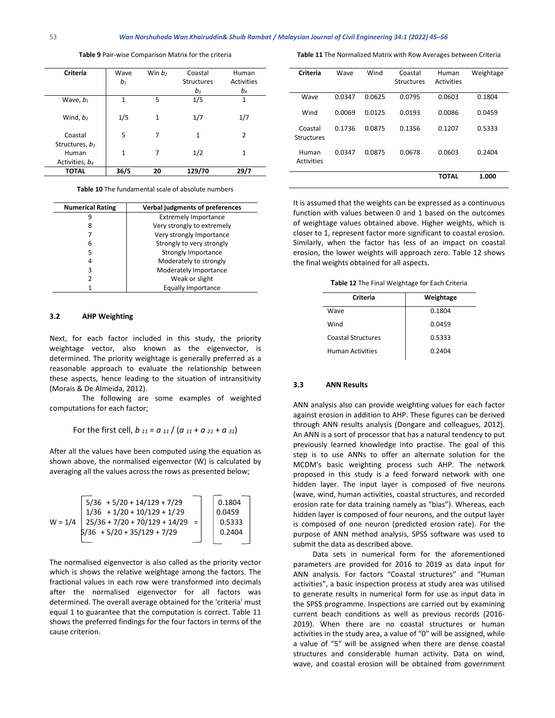| Table 9 Pair-wise Comparison Matrix for the criteria |  |
|------------------------------------------------------|--|
|------------------------------------------------------|--|

| <b>Criteria</b>            | Wave<br>$b_1$ | Win $b2$ | Coastal<br><b>Structures</b> | Human<br>Activities |
|----------------------------|---------------|----------|------------------------------|---------------------|
|                            |               |          | $b_3$                        | b4                  |
| Wave, $b_1$                | 1             | 5        | 1/5                          | $\mathbf{1}$        |
| Wind, $b_2$                | 1/5           | 1        | 1/7                          | 1/7                 |
| Coastal                    | 5             | 7        | $\mathbf{1}$                 | $\overline{2}$      |
| Structures, $b_3$<br>Human | $\mathbf{1}$  | 7        | 1/2                          | 1                   |
| Activities, b4             |               |          |                              |                     |
| <b>TOTAL</b>               | 36/5          | 20       | 129/70                       | 29/7                |

**Table 10** The fundamental scale of absolute numbers

| <b>Numerical Rating</b> | Verbal judgments of preferences |
|-------------------------|---------------------------------|
|                         | <b>Extremely Importance</b>     |
| 8                       | Very strongly to extremely      |
|                         | Very strongly Importance        |
| 6                       | Strongly to very strongly       |
| 5                       | Strongly Importance             |
| 4                       | Moderately to strongly          |
| 3                       | Moderately Importance           |
| 2                       | Weak or slight                  |
|                         | Equally Importance              |

#### **3.2 AHP Weighting**

Next, for each factor included in this study, the priority weightage vector, also known as the eigenvector, is determined. The priority weightage is generally preferred as a reasonable approach to evaluate the relationship between these aspects, hence leading to the situation of intransitivity (Morais & De Almeida, 2012).

The following are some examples of weighted computations for each factor;

For the first cell,  $b_{11} = a_{11} / (a_{11} + a_{21} + a_{31})$ 

After all the values have been computed using the equation as shown above, the normalised eigenvector (W) is calculated by averaging all the values across the rows as presented below;

$$
W = 1/4
$$
\n
$$
\begin{bmatrix}\n5/36 + 5/20 + 14/129 + 7/29 \\
1/36 + 1/20 + 10/129 + 1/29 \\
25/36 + 7/20 + 70/129 + 14/29 = 0.5333 \\
5/36 + 5/20 + 35/129 + 7/29\n\end{bmatrix}
$$
\n
$$
0.0459
$$
\n
$$
0.5333
$$
\n
$$
0.2404
$$

The normalised eigenvector is also called as the priority vector which is shows the relative weightage among the factors. The fractional values in each row were transformed into decimals after the normalised eigenvector for all factors was determined. The overall average obtained for the 'criteria' must equal 1 to guarantee that the computation is correct. Table 11 shows the preferred findings for the four factors in terms of the cause criterion.

**Table 11** The Normalized Matrix with Row Averages between Criteria

| Criteria                     | Wave   | Wind   | Coastal           | Human        | Weightage |
|------------------------------|--------|--------|-------------------|--------------|-----------|
|                              |        |        | <b>Structures</b> | Activities   |           |
| Wave                         | 0.0347 | 0.0625 | 0.0795            | 0.0603       | 0.1804    |
| Wind                         | 0.0069 | 0.0125 | 0.0193            | 0.0086       | 0.0459    |
| Coastal<br><b>Structures</b> | 0.1736 | 0.0875 | 0.1356            | 0.1207       | 0.5333    |
| Human<br>Activities          | 0.0347 | 0.0875 | 0.0678            | 0.0603       | 0.2404    |
|                              |        |        |                   | <b>TOTAL</b> | 1.000     |

It is assumed that the weights can be expressed as a continuous function with values between 0 and 1 based on the outcomes of weightage values obtained above. Higher weights, which is closer to 1, represent factor more significant to coastal erosion. Similarly, when the factor has less of an impact on coastal erosion, the lower weights will approach zero. Table 12 shows the final weights obtained for all aspects.

**Table 12** The Final Weightage for Each Criteria

| Criteria                  | Weightage |
|---------------------------|-----------|
| Wave                      | 0.1804    |
| Wind                      | 0.0459    |
| <b>Coastal Structures</b> | 0.5333    |
| <b>Human Activities</b>   | 0.2404    |

#### **3.3 ANN Results**

ANN analysis also can provide weighting values for each factor against erosion in addition to AHP. These figures can be derived through ANN results analysis (Dongare and colleagues, 2012). An ANN is a sort of processor that has a natural tendency to put previously learned knowledge into practise. The goal of this step is to use ANNs to offer an alternate solution for the MCDM's basic weighting process such AHP. The network proposed in this study is a feed forward network with one hidden layer. The input layer is composed of five neurons (wave, wind, human activities, coastal structures, and recorded erosion rate for data training namely as "bias"). Whereas, each hidden layer is composed of four neurons, and the output layer is composed of one neuron (predicted erosion rate). For the purpose of ANN method analysis, SPSS software was used to submit the data as described above.

Data sets in numerical form for the aforementioned parameters are provided for 2016 to 2019 as data input for ANN analysis. For factors "Coastal structures" and "Human activities", a basic inspection process at study area was utilised to generate results in numerical form for use as input data in the SPSS programme. Inspections are carried out by examining current beach conditions as well as previous records (2016- 2019). When there are no coastal structures or human activities in the study area, a value of "0" will be assigned, while a value of "5" will be assigned when there are dense coastal structures and considerable human activity. Data on wind, wave, and coastal erosion will be obtained from government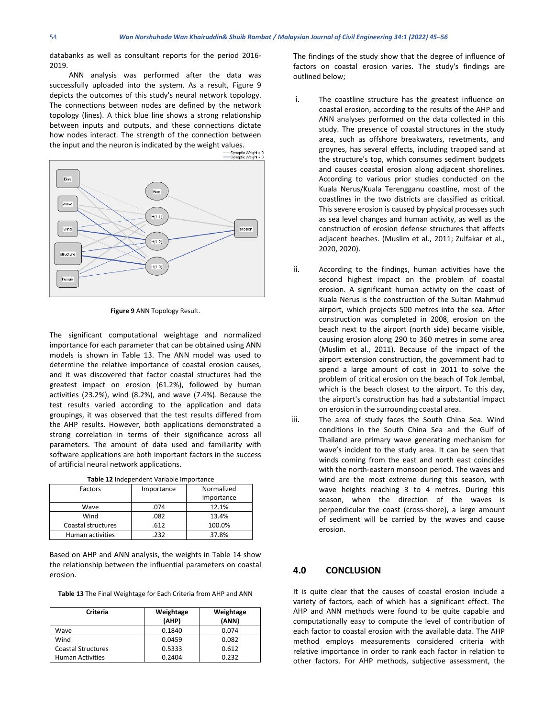databanks as well as consultant reports for the period 2016- 2019.

ANN analysis was performed after the data was successfully uploaded into the system. As a result, Figure 9 depicts the outcomes of this study's neural network topology. The connections between nodes are defined by the network topology (lines). A thick blue line shows a strong relationship between inputs and outputs, and these connections dictate how nodes interact. The strength of the connection between



**Figure 9** ANN Topology Result.

The significant computational weightage and normalized importance for each parameter that can be obtained using ANN models is shown in Table 13. The ANN model was used to determine the relative importance of coastal erosion causes, and it was discovered that factor coastal structures had the greatest impact on erosion (61.2%), followed by human activities (23.2%), wind (8.2%), and wave (7.4%). Because the test results varied according to the application and data groupings, it was observed that the test results differed from the AHP results. However, both applications demonstrated a strong correlation in terms of their significance across all parameters. The amount of data used and familiarity with software applications are both important factors in the success of artificial neural network applications.

| Table 12 Independent Variable Importance |  |
|------------------------------------------|--|
|------------------------------------------|--|

| Factors            | Importance | Normalized |
|--------------------|------------|------------|
|                    |            | Importance |
| Wave               | .074       | 12.1%      |
| Wind               | .082       | 13.4%      |
| Coastal structures | .612       | 100.0%     |
| Human activities   | 232        | 37.8%      |

Based on AHP and ANN analysis, the weights in Table 14 show the relationship between the influential parameters on coastal erosion.

|  | Table 13 The Final Weightage for Each Criteria from AHP and ANN |
|--|-----------------------------------------------------------------|
|--|-----------------------------------------------------------------|

| Criteria                  | Weightage<br>(AHP) | Weightage<br>(ANN) |
|---------------------------|--------------------|--------------------|
| Wave                      | 0.1840             | 0.074              |
| Wind                      | 0.0459             | 0.082              |
| <b>Coastal Structures</b> | 0.5333             | 0.612              |
| <b>Human Activities</b>   | 0.2404             | 0.232              |

The findings of the study show that the degree of influence of factors on coastal erosion varies. The study's findings are outlined below;

- i. The coastline structure has the greatest influence on coastal erosion, according to the results of the AHP and ANN analyses performed on the data collected in this study. The presence of coastal structures in the study area, such as offshore breakwaters, revetments, and groynes, has several effects, including trapped sand at the structure's top, which consumes sediment budgets and causes coastal erosion along adjacent shorelines. According to various prior studies conducted on the Kuala Nerus/Kuala Terengganu coastline, most of the coastlines in the two districts are classified as critical. This severe erosion is caused by physical processes such as sea level changes and human activity, as well as the construction of erosion defense structures that affects adjacent beaches. (Muslim et al., 2011; Zulfakar et al., 2020, 2020).
- ii. According to the findings, human activities have the second highest impact on the problem of coastal erosion. A significant human activity on the coast of Kuala Nerus is the construction of the Sultan Mahmud airport, which projects 500 metres into the sea. After construction was completed in 2008, erosion on the beach next to the airport (north side) became visible, causing erosion along 290 to 360 metres in some area (Muslim et al., 2011). Because of the impact of the airport extension construction, the government had to spend a large amount of cost in 2011 to solve the problem of critical erosion on the beach of Tok Jembal, which is the beach closest to the airport. To this day, the airport's construction has had a substantial impact on erosion in the surrounding coastal area.
- iii. The area of study faces the South China Sea. Wind conditions in the South China Sea and the Gulf of Thailand are primary wave generating mechanism for wave's incident to the study area. It can be seen that winds coming from the east and north east coincides with the north-eastern monsoon period. The waves and wind are the most extreme during this season, with wave heights reaching 3 to 4 metres. During this season, when the direction of the waves is perpendicular the coast (cross-shore), a large amount of sediment will be carried by the waves and cause erosion.

### **4.0 CONCLUSION**

It is quite clear that the causes of coastal erosion include a variety of factors, each of which has a significant effect. The AHP and ANN methods were found to be quite capable and computationally easy to compute the level of contribution of each factor to coastal erosion with the available data. The AHP method employs measurements considered criteria with relative importance in order to rank each factor in relation to other factors. For AHP methods, subjective assessment, the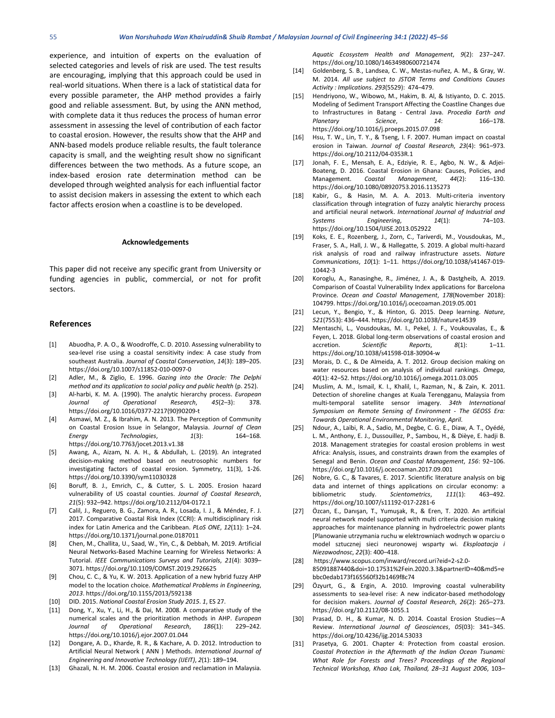experience, and intuition of experts on the evaluation of selected categories and levels of risk are used. The test results are encouraging, implying that this approach could be used in real-world situations. When there is a lack of statistical data for every possible parameter, the AHP method provides a fairly good and reliable assessment. But, by using the ANN method, with complete data it thus reduces the process of human error assessment in assessing the level of contribution of each factor to coastal erosion. However, the results show that the AHP and ANN-based models produce reliable results, the fault tolerance capacity is small, and the weighting result show no significant differences between the two methods. As a future scope, an index-based erosion rate determination method can be developed through weighted analysis for each influential factor to assist decision makers in assessing the extent to which each factor affects erosion when a coastline is to be developed.

#### **Acknowledgements**

This paper did not receive any specific grant from University or funding agencies in public, commercial, or not for profit sectors.

#### **References**

- [1] Abuodha, P. A. O., & Woodroffe, C. D. 2010. Assessing vulnerability to sea-level rise using a coastal sensitivity index: A case study from southeast Australia. *Journal of Coastal Conservation*, *14*(3): 189–205. https://doi.org/10.1007/s11852-010-0097-0
- [2] Adler, M., & Ziglio, E. 1996. *Gazing into the Oracle: The Delphi method and its application to social policy and public health* (p. 252).
- [3] Al-harbi, K. M. A. (1990). The analytic hierarchy process. *European Journal of Operational Research*, *45*(2–3): 378. https://doi.org/10.1016/0377-2217(90)90209-t
- [4] Asmawi, M. Z., & Ibrahim, A. N. 2013. The Perception of Community on Coastal Erosion Issue in Selangor, Malaysia. *Journal of Clean Energy Technologies*, *1*(3): 164–168. https://doi.org/10.7763/jocet.2013.v1.38
- [5] Awang, A., Aizam, N. A. H., & Abdullah, L. (2019). An integrated decision-making method based on neutrosophic numbers for investigating factors of coastal erosion. Symmetry, 11(3), 1-26. https://doi.org/10.3390/sym11030328
- [6] Boruff, B. J., Emrich, C., & Cutter, S. L. 2005. Erosion hazard vulnerability of US coastal counties. *Journal of Coastal Research*, *21*(5): 932–942. https://doi.org/10.2112/04-0172.1
- [7] Calil, J., Reguero, B. G., Zamora, A. R., Losada, I. J., & Méndez, F. J. 2017. Comparative Coastal Risk Index (CCRI): A multidisciplinary risk index for Latin America and the Caribbean. *PLoS ONE*, *12*(11): 1–24. https://doi.org/10.1371/journal.pone.0187011
- [8] Chen, M., Challita, U., Saad, W., Yin, C., & Debbah, M. 2019. Artificial Neural Networks-Based Machine Learning for Wireless Networks: A Tutorial. *IEEE Communications Surveys and Tutorials*, *21*(4): 3039– 3071. https://doi.org/10.1109/COMST.2019.2926625
- [9] Chou, C. C., & Yu, K. W. 2013. Application of a new hybrid fuzzy AHP model to the location choice. *Mathematical Problems in Engineering*, *2013*. https://doi.org/10.1155/2013/592138
- [10] DID. 2015. *National Coastal Erosion Study 2015*. *1*, ES 27.
- [11] Dong, Y., Xu, Y., Li, H., & Dai, M. 2008. A comparative study of the numerical scales and the prioritization methods in AHP. *European Journal of Operational Research*, *186*(1): 229–242. https://doi.org/10.1016/j.ejor.2007.01.044
- [12] Dongare, A. D., Kharde, R. R., & Kachare, A. D. 2012. Introduction to Artificial Neural Network ( ANN ) Methods. *International Journal of Engineering and Innovative Technology (IJEIT)*, *2*(1): 189–194.
- [13] Ghazali, N. H. M. 2006. Coastal erosion and reclamation in Malaysia.

*Aquatic Ecosystem Health and Management*, *9*(2): 237–247. https://doi.org/10.1080/14634980600721474

- [14] Goldenberg, S. B., Landsea, C. W., Mestas-nuñez, A. M., & Gray, W. M. 2014. *All use subject to JSTOR Terms and Conditions Causes Activity : Implications*. *293*(5529): 474–479.
- [15] Hendriyono, W., Wibowo, M., Hakim, B. Al, & Istiyanto, D. C. 2015. Modeling of Sediment Transport Affecting the Coastline Changes due to Infrastructures in Batang - Central Java. *Procedia Earth and Planetary Science*, *14*: 166–178. https://doi.org/10.1016/j.proeps.2015.07.098
- [16] Hsu, T. W., Lin, T. Y., & Tseng, I. F. 2007. Human impact on coastal erosion in Taiwan. *Journal of Coastal Research*, *23*(4): 961–973. https://doi.org/10.2112/04-0353R.1
- [17] Jonah, F. E., Mensah, E. A., Edziyie, R. E., Agbo, N. W., & Adjei-Boateng, D. 2016. Coastal Erosion in Ghana: Causes, Policies, and Management. *Coastal Management*, *44*(2): 116–130. https://doi.org/10.1080/08920753.2016.1135273
- [18] Kabir, G., & Hasin, M. A. A. 2013. Multi-criteria inventory classification through integration of fuzzy analytic hierarchy process and artificial neural network. *International Journal of Industrial and Systems Engineering*, *14*(1): 74–103. https://doi.org/10.1504/IJISE.2013.052922
- [19] Koks, E. E., Rozenberg, J., Zorn, C., Tariverdi, M., Vousdoukas, M., Fraser, S. A., Hall, J. W., & Hallegatte, S. 2019. A global multi-hazard risk analysis of road and railway infrastructure assets. *Nature Communications*, *10*(1): 1–11. https://doi.org/10.1038/s41467-019- 10442-3
- [20] Koroglu, A., Ranasinghe, R., Jiménez, J. A., & Dastgheib, A. 2019. Comparison of Coastal Vulnerability Index applications for Barcelona Province. *Ocean and Coastal Management*, *178*(November 2018): 104799. https://doi.org/10.1016/j.ocecoaman.2019.05.001
- [21] Lecun, Y., Bengio, Y., & Hinton, G. 2015. Deep learning. *Nature*, *521*(7553): 436–444. https://doi.org/10.1038/nature14539
- [22] Mentaschi, L., Vousdoukas, M. I., Pekel, J. F., Voukouvalas, E., & Feyen, L. 2018. Global long-term observations of coastal erosion and accretion. *Scientific Reports*, *8*(1): 1–11. https://doi.org/10.1038/s41598-018-30904-w
- [23] Morais, D. C., & De Almeida, A. T. 2012. Group decision making on water resources based on analysis of individual rankings. *Omega*, *40*(1): 42–52. https://doi.org/10.1016/j.omega.2011.03.005
- [24] Muslim, A. M., Ismail, K. I., Khalil, I., Razman, N., & Zain, K. 2011. Detection of shoreline changes at Kuala Terengganu, Malaysia from multi-temporal satellite sensor imagery. *34th International Symposium on Remote Sensing of Environment - The GEOSS Era: Towards Operational Environmental Monitoring*, *April*.
- [25] Ndour, A., Laïbi, R. A., Sadio, M., Degbe, C. G. E., Diaw, A. T., Oyédé, L. M., Anthony, E. J., Dussouillez, P., Sambou, H., & Dièye, E. hadji B. 2018. Management strategies for coastal erosion problems in west Africa: Analysis, issues, and constraints drawn from the examples of Senegal and Benin. *Ocean and Coastal Management*, *156*: 92–106. https://doi.org/10.1016/j.ocecoaman.2017.09.001
- [26] Nobre, G. C., & Tavares, E. 2017. Scientific literature analysis on big data and internet of things applications on circular economy: a bibliometric study. *Scientometrics*, *111*(1): 463–492. https://doi.org/10.1007/s11192-017-2281-6
- [27] Özcan, E., Danışan, T., Yumuşak, R., & Eren, T. 2020. An artificial neural network model supported with multi criteria decision making approaches for maintenance planning in hydroelectric power plants [Planowanie utrzymania ruchu w elektrowniach wodnych w oparciu o model sztucznej sieci neuronowej wsparty wi. *Eksploatacja i Niezawodnosc*, *22*(3): 400–418.
- [28] https://www.scopus.com/inward/record.uri?eid=2-s2.0- 85091887440&doi=10.17531%2Fein.2020.3.3&partnerID=40&md5=e bbc0edab173f165560f32b1469f8c74
- [29] Özyurt, G., & Ergin, A. 2010. Improving coastal vulnerability assessments to sea-level rise: A new indicator-based methodology for decision makers. *Journal of Coastal Research*, *26*(2): 265–273. https://doi.org/10.2112/08-1055.1
- [30] Prasad, D. H., & Kumar, N. D. 2014. Coastal Erosion Studies—A Review. *International Journal of Geosciences*, *05*(03): 341–345. https://doi.org/10.4236/ijg.2014.53033
- [31] Prasetya, G. 2001. Chapter 4: Protection from coastal erosion. *Coastal Protection in the Aftermath of the Indian Ocean Tsunami: What Role for Forests and Trees? Proceedings of the Regional Technical Workshop, Khao Lak, Thailand, 28–31 August 2006*, 103–